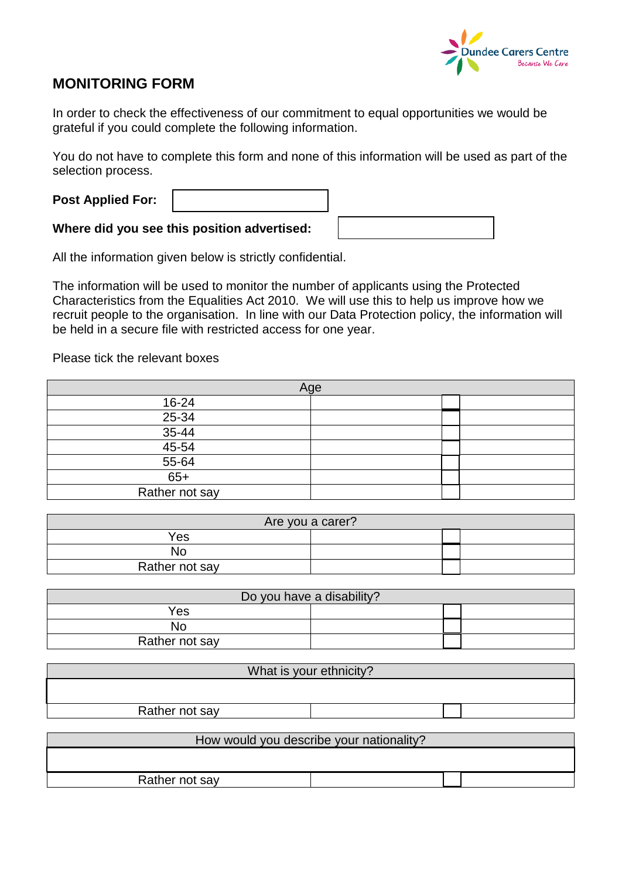

## **MONITORING FORM**

In order to check the effectiveness of our commitment to equal opportunities we would be grateful if you could complete the following information.

You do not have to complete this form and none of this information will be used as part of the selection process.

| <b>Post Applied For:</b> |                                             |  |
|--------------------------|---------------------------------------------|--|
|                          | Where did you see this position advertised: |  |

All the information given below is strictly confidential.

The information will be used to monitor the number of applicants using the Protected Characteristics from the Equalities Act 2010. We will use this to help us improve how we recruit people to the organisation. In line with our Data Protection policy, the information will be held in a secure file with restricted access for one year.

Please tick the relevant boxes

| Age            |  |  |  |
|----------------|--|--|--|
| 16-24          |  |  |  |
| $25 - 34$      |  |  |  |
| $35 - 44$      |  |  |  |
| $45 - 54$      |  |  |  |
| $55 - 64$      |  |  |  |
| $65+$          |  |  |  |
| Rather not say |  |  |  |

| Are you a carer? |  |  |  |  |
|------------------|--|--|--|--|
| Yes              |  |  |  |  |
| No               |  |  |  |  |
| Rather not say   |  |  |  |  |

| Do you have a disability? |  |  |  |  |
|---------------------------|--|--|--|--|
| Yes                       |  |  |  |  |
| No                        |  |  |  |  |
| Rather not say            |  |  |  |  |

| What is your ethnicity?                  |  |  |  |  |
|------------------------------------------|--|--|--|--|
|                                          |  |  |  |  |
| Rather not say                           |  |  |  |  |
| How would you describe your nationality? |  |  |  |  |

Rather not say